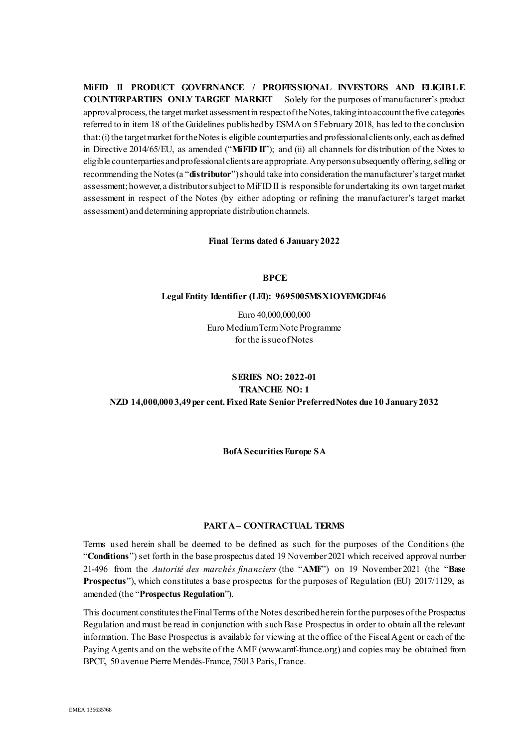**MiFID II PRODUCT GOVERNANCE / PROFESSIONAL INVESTORS AND ELIGIBLE COUNTERPARTIES ONLY TARGET MARKET** – Solely for the purposes of manufacturer's product approval process, the target market assessment in respect of the Notes, taking into account the five categories referred to in item 18 of the Guidelines published by ESMA on 5 February 2018, has led to the conclusion that: (i) the target market for the Notes is eligible counterparties and professional clients only, each as defined in Directive 2014/65/EU, as amended ("**MiFID II**"); and (ii) all channels for distribution of the Notes to eligible counterparties and professional clients are appropriate. Any person subsequently offering, selling or recommending the Notes (a "**distributor**") should take into consideration the manufacturer'starget market assessment; however, a distributor subject to MiFID II is responsible for undertaking its own target market assessment in respect of the Notes (by either adopting or refining the manufacturer's target market assessment) and determining appropriate distribution channels.

#### **Final Terms dated 6 January 2022**

### **BPCE**

#### **Legal Entity Identifier (LEI): 9695005MSX1OYEMGDF46**

Euro 40,000,000,000 Euro Medium Term Note Programme for the issue of Notes

# **SERIES NO: 2022-01 TRANCHE NO: 1 NZD 14,000,000 3,49 per cent.Fixed Rate Senior Preferred Notes due 10 January 2032**

**BofA Securities Europe SA**

#### **PART A – CONTRACTUAL TERMS**

Terms used herein shall be deemed to be defined as such for the purposes of the Conditions (the "**Conditions**") set forth in the base prospectus dated 19 November 2021 which received approval number 21-496 from the *Autorité des marchés financiers* (the "**AMF**") on 19 November 2021 (the "**Base Prospectus**"), which constitutes a base prospectus for the purposes of Regulation (EU) 2017/1129, as amended (the "**Prospectus Regulation**").

This document constitutes the Final Terms of the Notes described herein for the purposes of the Prospectus Regulation and must be read in conjunction with such Base Prospectus in order to obtain all the relevant information. The Base Prospectus is available for viewing at the office of the Fiscal Agent or each of the Paying Agents and on the website of the AMF (www.amf-france.org) and copies may be obtained from BPCE, 50 avenue Pierre Mendès-France, 75013 Paris, France.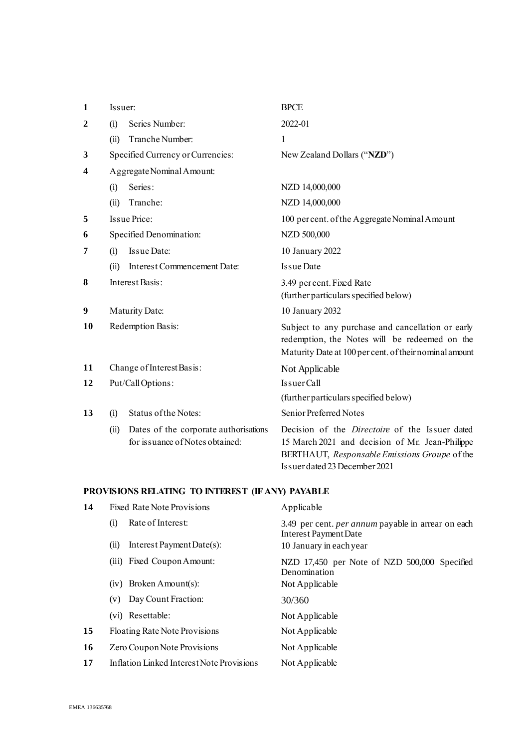| $\mathbf{1}$            | Issuer:                   |                                                                          | <b>BPCE</b>                                                                                                                                                                                |
|-------------------------|---------------------------|--------------------------------------------------------------------------|--------------------------------------------------------------------------------------------------------------------------------------------------------------------------------------------|
| $\overline{2}$          | (i)                       | Series Number:                                                           | 2022-01                                                                                                                                                                                    |
|                         | (ii)                      | Tranche Number:                                                          | 1                                                                                                                                                                                          |
| 3                       |                           | Specified Currency or Currencies:                                        | New Zealand Dollars ("NZD")                                                                                                                                                                |
| $\overline{\mathbf{4}}$ | Aggregate Nominal Amount: |                                                                          |                                                                                                                                                                                            |
|                         | (i)                       | Series:                                                                  | NZD 14,000,000                                                                                                                                                                             |
|                         | (ii)                      | Tranche:                                                                 | NZD 14,000,000                                                                                                                                                                             |
| 5                       |                           | Issue Price:                                                             | 100 per cent. of the Aggregate Nominal Amount                                                                                                                                              |
| 6                       |                           | Specified Denomination:                                                  | NZD 500,000                                                                                                                                                                                |
| 7                       | (i)                       | <b>Issue Date:</b>                                                       | 10 January 2022                                                                                                                                                                            |
|                         | (ii)                      | Interest Commencement Date:                                              | <b>Issue Date</b>                                                                                                                                                                          |
| 8                       |                           | Interest Basis:                                                          | 3.49 per cent. Fixed Rate<br>(further particulars specified below)                                                                                                                         |
| 9                       |                           | Maturity Date:                                                           | 10 January 2032                                                                                                                                                                            |
| 10                      |                           | Redemption Basis:                                                        | Subject to any purchase and cancellation or early<br>redemption, the Notes will be redeemed on the<br>Maturity Date at 100 per cent. of their nominal amount                               |
| 11                      |                           | Change of Interest Basis:                                                | Not Applicable                                                                                                                                                                             |
| 12                      | Put/CallOptions:          |                                                                          | IssuerCall                                                                                                                                                                                 |
|                         |                           |                                                                          | (further particulars specified below)                                                                                                                                                      |
| 13                      | (i)                       | Status of the Notes:                                                     | Senior Preferred Notes                                                                                                                                                                     |
|                         | (ii)                      | Dates of the corporate authorisations<br>for issuance of Notes obtained: | Decision of the <i>Directoire</i> of the Issuer dated<br>15 March 2021 and decision of Mr. Jean-Philippe<br>BERTHAUT, Responsable Emissions Groupe of the<br>Issuer dated 23 December 2021 |

# **PROVISIONS RELATING TO INTEREST (IF ANY) PAYABLE**

| $\frac{1}{2}$ |                                           |                                                                                    |
|---------------|-------------------------------------------|------------------------------------------------------------------------------------|
| 14            | <b>Fixed Rate Note Provisions</b>         | Applicable                                                                         |
|               | Rate of Interest:<br>(i)                  | 3.49 per cent. <i>per annum</i> payable in arrear on each<br>Interest Payment Date |
|               | Interest Payment Date(s):<br>(11)         | 10 January in each year                                                            |
|               | (iii) Fixed Coupon Amount:                | NZD 17,450 per Note of NZD 500,000 Specified<br>Denomination                       |
|               | $(iv)$ Broken Amount(s):                  | Not Applicable                                                                     |
|               | Day Count Fraction:<br>(v)                | 30/360                                                                             |
|               | (vi) Resettable:                          | Not Applicable                                                                     |
| 15            | Floating Rate Note Provisions             | Not Applicable                                                                     |
| 16            | Zero Coupon Note Provisions               | Not Applicable                                                                     |
| 17            | Inflation Linked Interest Note Provisions | Not Applicable                                                                     |
|               |                                           |                                                                                    |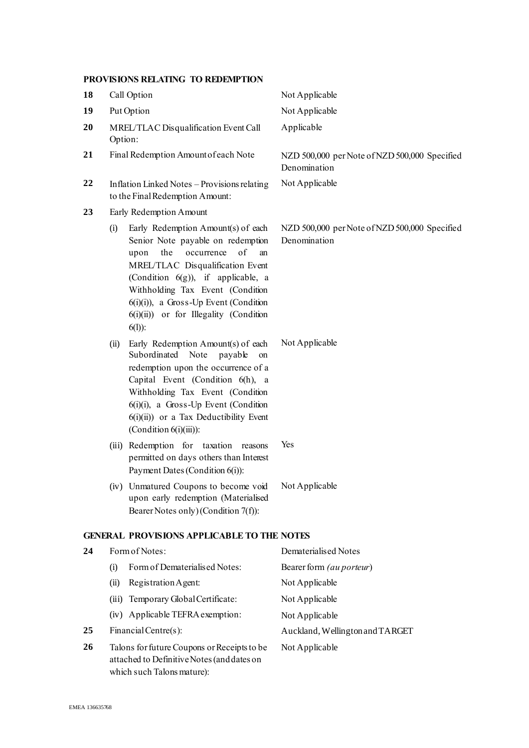## **PROVISIONS RELATING TO REDEMPTION**

| 18 |                         | Call Option                                                                                                                                                                                                                                                                                                                        | Not Applicable                                                |
|----|-------------------------|------------------------------------------------------------------------------------------------------------------------------------------------------------------------------------------------------------------------------------------------------------------------------------------------------------------------------------|---------------------------------------------------------------|
| 19 | Put Option              |                                                                                                                                                                                                                                                                                                                                    | Not Applicable                                                |
| 20 | Option:                 | MREL/TLAC Disqualification Event Call                                                                                                                                                                                                                                                                                              | Applicable                                                    |
| 21 |                         | Final Redemption Amount of each Note                                                                                                                                                                                                                                                                                               | NZD 500,000 per Note of NZD 500,000 Specified<br>Denomination |
| 22 |                         | Inflation Linked Notes - Provisions relating<br>to the Final Redemption Amount:                                                                                                                                                                                                                                                    | Not Applicable                                                |
| 23 | Early Redemption Amount |                                                                                                                                                                                                                                                                                                                                    |                                                               |
|    | (i)                     | Early Redemption Amount(s) of each<br>Senior Note payable on redemption<br>of<br>the<br>occurrence<br>an<br>upon<br>MREL/TLAC Disqualification Event<br>(Condition $6(g)$ ), if applicable, a<br>Withholding Tax Event (Condition<br>$6(i)(i)$ , a Gross-Up Event (Condition<br>6(i)(ii)) or for Illegality (Condition<br>$6(1)$ : | NZD 500,000 per Note of NZD 500,000 Specified<br>Denomination |
|    | (ii)                    | Early Redemption Amount(s) of each<br>Subordinated Note<br>payable<br>on<br>redemption upon the occurrence of a<br>Capital Event (Condition 6(h), a<br>Withholding Tax Event (Condition<br>$6(i)(i)$ , a Gross-Up Event (Condition<br>$6(i)(ii)$ or a Tax Deductibility Event<br>(Condition $6(i)(iii)$ ):                         | Not Applicable                                                |
|    |                         | (iii) Redemption for taxation<br>reasons<br>permitted on days others than Interest<br>Payment Dates (Condition 6(i)):                                                                                                                                                                                                              | Yes                                                           |
|    |                         | (iv) Unmatured Coupons to become void<br>upon early redemption (Materialised<br>Bearer Notes only) (Condition 7(f)):                                                                                                                                                                                                               | Not Applicable                                                |
|    |                         | <b>GENERAL PROVISIONS APPLICABLE TO THE NOTES</b>                                                                                                                                                                                                                                                                                  |                                                               |
| 24 |                         | Form of Notes:                                                                                                                                                                                                                                                                                                                     | Dematerialised Notes                                          |
|    | (i)                     | Form of Dematerialised Notes:                                                                                                                                                                                                                                                                                                      | Bearer form (au porteur)                                      |
|    | (ii)                    | Registration Agent:                                                                                                                                                                                                                                                                                                                | Not Applicable                                                |
|    |                         | (iii) Temporary Global Certificate:                                                                                                                                                                                                                                                                                                | Not Applicable                                                |
|    |                         | (iv) Applicable TEFRA exemption:                                                                                                                                                                                                                                                                                                   | Not Applicable                                                |
| 25 |                         | Financial Centre(s):                                                                                                                                                                                                                                                                                                               | Auckland, Wellington and TARGET                               |
| 26 |                         | Talons for future Coupons or Receipts to be<br>attached to Definitive Notes (and dates on<br>which such Talons mature):                                                                                                                                                                                                            | Not Applicable                                                |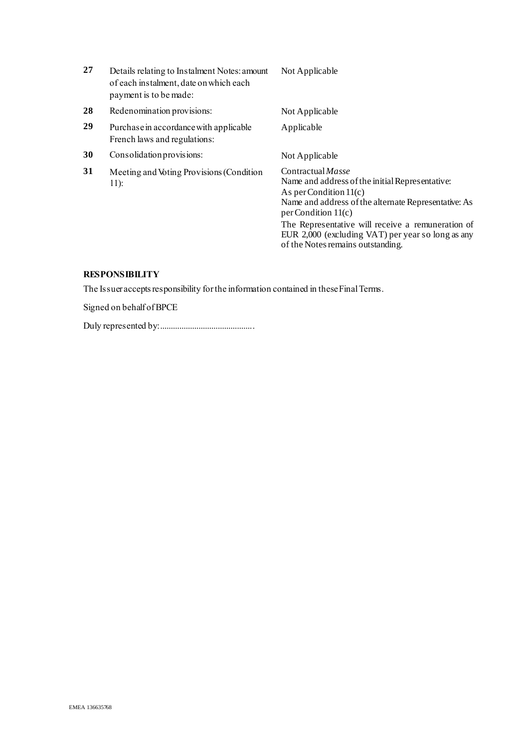| 27 | Details relating to Instalment Notes: amount<br>of each instalment, date on which each<br>payment is to be made: | Not Applicable                                                                                                                                                                                                                                                                                                                          |
|----|------------------------------------------------------------------------------------------------------------------|-----------------------------------------------------------------------------------------------------------------------------------------------------------------------------------------------------------------------------------------------------------------------------------------------------------------------------------------|
| 28 | Redenomination provisions:                                                                                       | Not Applicable                                                                                                                                                                                                                                                                                                                          |
| 29 | Purchase in accordance with applicable<br>French laws and regulations:                                           | Applicable                                                                                                                                                                                                                                                                                                                              |
| 30 | Consolidation provisions:                                                                                        | Not Applicable                                                                                                                                                                                                                                                                                                                          |
| 31 | Meeting and Voting Provisions (Condition<br>$11$ :                                                               | Contractual <i>Masse</i><br>Name and address of the initial Representative:<br>As per Condition $11(c)$<br>Name and address of the alternate Representative: As<br>per Condition $11(c)$<br>The Representative will receive a remuneration of<br>EUR 2,000 (excluding VAT) per year so long as any<br>of the Notes remains outstanding. |

# **RESPONSIBILITY**

The Issuer accepts responsibility for the information contained in these Final Terms.

Signed on behalf of BPCE

Duly represented by:............................................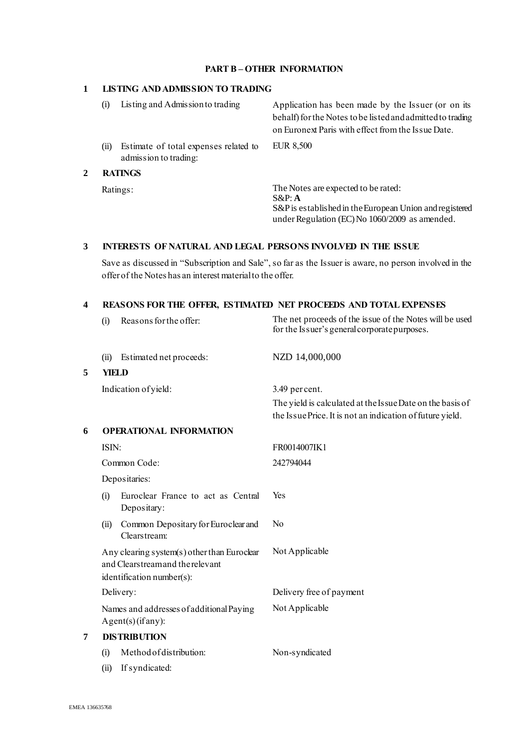## **PART B – OTHER INFORMATION**

### **1 LISTING AND ADMISSION TO TRADING**

**2** 

| Listing and Admission to trading<br>(i)                                | Application has been made by the Issuer (or on its<br>behalf) for the Notes to be listed and admitted to trading<br>on Euronext Paris with effect from the Issue Date. |  |
|------------------------------------------------------------------------|------------------------------------------------------------------------------------------------------------------------------------------------------------------------|--|
| Estimate of total expenses related to<br>(ii)<br>admission to trading: | EUR 8,500                                                                                                                                                              |  |
| <b>RATINGS</b>                                                         |                                                                                                                                                                        |  |
| Ratings:                                                               | The Notes are expected to be rated:<br>$S\&P: A$<br>S&P is established in the European Union and registered<br>under Regulation (EC) No 1060/2009 as amended.          |  |

### **3 INTERESTS OF NATURAL AND LEGAL PERSONS INVOLVED IN THE ISSUE**

Save as discussed in "Subscription and Sale", so far as the Issuer is aware, no person involved in the offer of the Notes has an interest material to the offer.

## **4 REASONS FOR THE OFFER, ESTIMATED NET PROCEEDS AND TOTAL EXPENSES**

|   | Reasons for the offer:<br>(i)                                                                               | The net proceeds of the issue of the Notes will be used<br>for the Issuer's general corporate purposes.                |  |
|---|-------------------------------------------------------------------------------------------------------------|------------------------------------------------------------------------------------------------------------------------|--|
|   | Estimated net proceeds:<br>(ii)                                                                             | NZD 14,000,000                                                                                                         |  |
| 5 | YIELD                                                                                                       |                                                                                                                        |  |
|   | Indication of yield:                                                                                        | 3.49 percent.                                                                                                          |  |
|   |                                                                                                             | The yield is calculated at the Issue Date on the basis of<br>the Issue Price. It is not an indication of future yield. |  |
| 6 | <b>OPERATIONAL INFORMATION</b>                                                                              |                                                                                                                        |  |
|   | ISIN:                                                                                                       | FR0014007IK1                                                                                                           |  |
|   | Common Code:                                                                                                | 242794044                                                                                                              |  |
|   | Depositaries:                                                                                               |                                                                                                                        |  |
|   | Euroclear France to act as Central<br>(i)<br>Depositary:                                                    | Yes                                                                                                                    |  |
|   | Common Depositary for Euroclear and<br>(ii)<br>Clearstream:                                                 | N <sub>0</sub>                                                                                                         |  |
|   | Any clearing system(s) other than Euroclear<br>and Clearstreamand the relevant<br>identification number(s): | Not Applicable                                                                                                         |  |
|   | Delivery:                                                                                                   | Delivery free of payment                                                                                               |  |
|   | Names and addresses of additional Paying<br>Agent(s)(ifany):                                                | Not Applicable                                                                                                         |  |
| 7 | <b>DISTRIBUTION</b>                                                                                         |                                                                                                                        |  |
|   | Method of distribution:<br>(i)                                                                              | Non-syndicated                                                                                                         |  |
|   | If syndicated:<br>(ii)                                                                                      |                                                                                                                        |  |